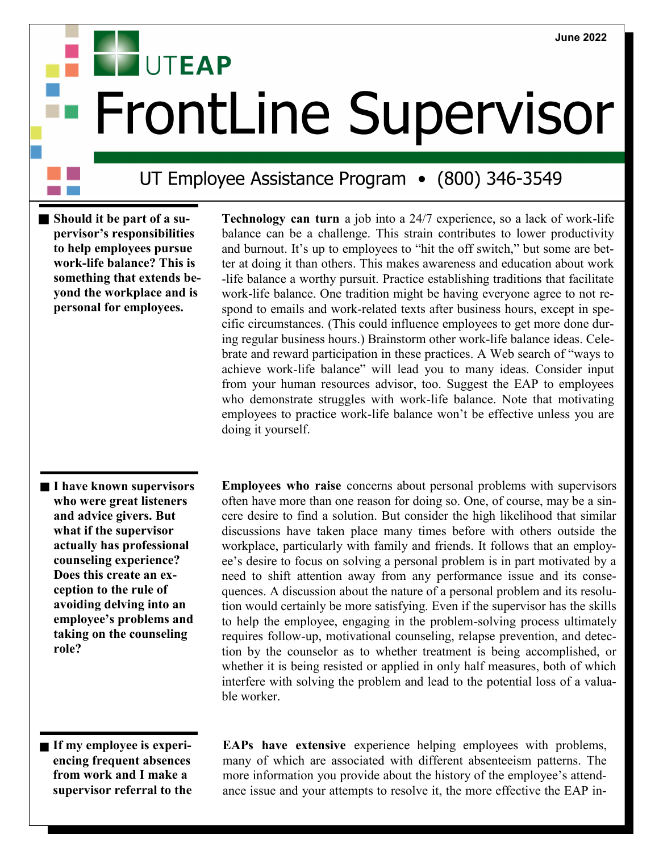## **UTEAP FrontLine Supervisor**

## UT Employee Assistance Program • (800) 346-3549

**Should it be part of a supervisor's responsibilities to help employees pursue work-life balance? This is something that extends beyond the workplace and is personal for employees.** 

 **Technology can turn** <sup>a</sup> job into a 24/7 experience, so a lack of work-life balance can be a challenge. This strain contributes to lower productivity and burnout. It's up to employees to "hit the off switch," but some are better at doing it than others. This makes awareness and education about work -life balance a worthy pursuit. Practice establishing traditions that facilitate work-life balance. One tradition might be having everyone agree to not respond to emails and work-related texts after business hours, except in specific circumstances. (This could influence employees to get more done during regular business hours.) Brainstorm other work-life balance ideas. Celebrate and reward participation in these practices. A Web search of "ways to achieve work-life balance" will lead you to many ideas. Consider input from your human resources advisor, too. Suggest the EAP to employees who demonstrate struggles with work-life balance. Note that motivating employees to practice work-life balance won't be effective unless you are doing it yourself.

**I have known supervisors who were great listeners and advice givers. But what if the supervisor actually has professional counseling experience? Does this create an exception to the rule of avoiding delving into an employee's problems and taking on the counseling role?** 

 **Employees who raise** concerns about personal problems with supervisors often have more than one reason for doing so. One, of course, may be a sincere desire to find a solution. But consider the high likelihood that similar discussions have taken place many times before with others outside the workplace, particularly with family and friends. It follows that an employee's desire to focus on solving a personal problem is in part motivated by a need to shift attention away from any performance issue and its consequences. A discussion about the nature of a personal problem and its resolution would certainly be more satisfying. Even if the supervisor has the skills to help the employee, engaging in the problem-solving process ultimately requires follow-up, motivational counseling, relapse prevention, and detection by the counselor as to whether treatment is being accomplished, or whether it is being resisted or applied in only half measures, both of which interfere with solving the problem and lead to the potential loss of a valuable worker.

**If my employee is experiencing frequent absences from work and I make a supervisor referral to the**   **EAPs have extensive** experience helping employees with problems, many of which are associated with different absenteeism patterns. The more information you provide about the history of the employee's attendance issue and your attempts to resolve it, the more effective the EAP in